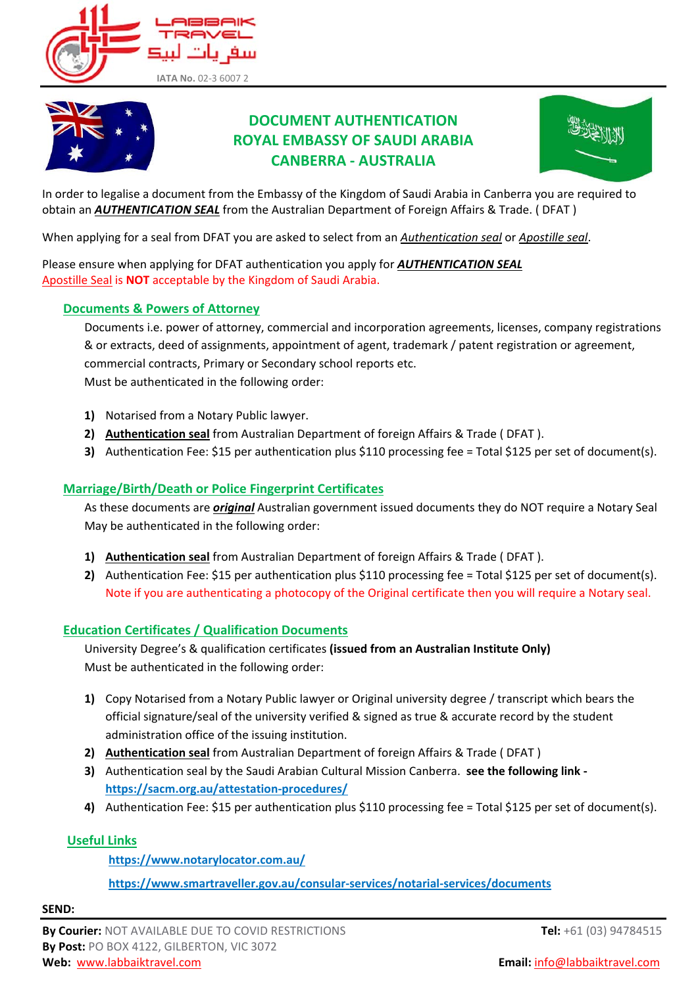



# **DOCUMENT AUTHENTICATION ROYAL EMBASSY OF SAUDI ARABIA CANBERRA ‐ AUSTRALIA**



In order to legalise a document from the Embassy of the Kingdom of Saudi Arabia in Canberra you are required to obtain an *AUTHENTICATION SEAL* from the Australian Department of Foreign Affairs & Trade. ( DFAT )

When applying for a seal from DFAT you are asked to select from an *Authentication seal* or *Apostille seal*.

Please ensure when applying for DFAT authentication you apply for *AUTHENTICATION SEAL* Apostille Seal is **NOT** acceptable by the Kingdom of Saudi Arabia.

#### **Documents & Powers of Attorney**

Documents i.e. power of attorney, commercial and incorporation agreements, licenses, company registrations & or extracts, deed of assignments, appointment of agent, trademark / patent registration or agreement, commercial contracts, Primary or Secondary school reports etc. Must be authenticated in the following order:

- **1)** Notarised from a Notary Public lawyer.
- **2) Authentication seal** from Australian Department of foreign Affairs & Trade ( DFAT ).
- **3)** Authentication Fee: \$15 per authentication plus \$110 processing fee = Total \$125 per set of document(s).

## **Marriage/Birth/Death or Police Fingerprint Certificates**

As these documents are *original* Australian government issued documents they do NOT require a Notary Seal May be authenticated in the following order:

- **1) Authentication seal** from Australian Department of foreign Affairs & Trade ( DFAT ).
- **2)** Authentication Fee: \$15 per authentication plus \$110 processing fee = Total \$125 per set of document(s). Note if you are authenticating a photocopy of the Original certificate then you will require a Notary seal.

#### **Education Certificates / Qualification Documents**

University Degree's & qualification certificates **(issued from an Australian Institute Only)**  Must be authenticated in the following order:

- **1)** Copy Notarised from a Notary Public lawyer or Original university degree / transcript which bears the official signature/seal of the university verified & signed as true & accurate record by the student administration office of the issuing institution.
- **2) Authentication seal** from Australian Department of foreign Affairs & Trade ( DFAT )
- **3)** Authentication seal by the Saudi Arabian Cultural Mission Canberra. **see the following link ‐ [https://sacm.org.au/attestation](https://sacm.org.au/attestation-procedures/)‐procedures/**
- **4)** Authentication Fee: \$15 per authentication plus \$110 processing fee = Total \$125 per set of document(s).

#### **Useful Links**

**https://www.notarylocator.com.au/**

**[https://www.smartraveller.gov.au/consular](https://www.smartraveller.gov.au/consular-services/notarial-services/documents-in-australia)‐services/notarial‐services/documents**

**SEND:**